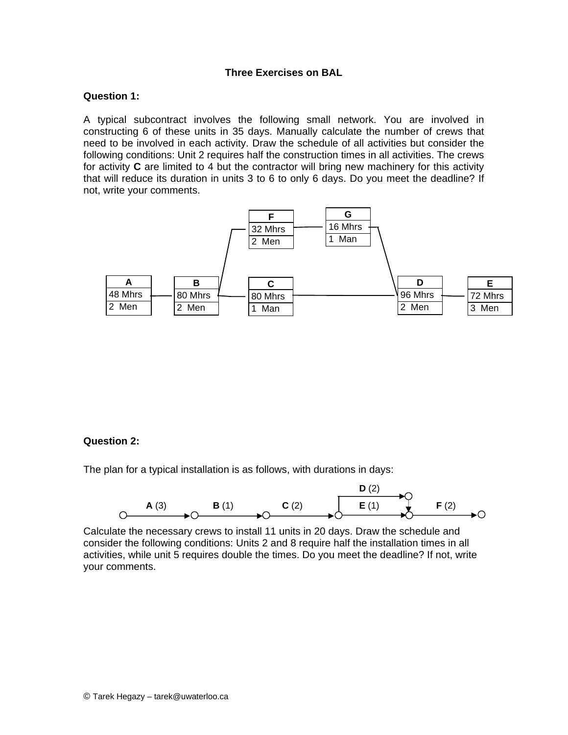# **Three Exercises on BAL**

#### **Question 1:**

A typical subcontract involves the following small network. You are involved in constructing 6 of these units in 35 days. Manually calculate the number of crews that need to be involved in each activity. Draw the schedule of all activities but consider the following conditions: Unit 2 requires half the construction times in all activities. The crews for activity **C** are limited to 4 but the contractor will bring new machinery for this activity that will reduce its duration in units 3 to 6 to only 6 days. Do you meet the deadline? If not, write your comments.



## **Question 2:**

The plan for a typical installation is as follows, with durations in days:



Calculate the necessary crews to install 11 units in 20 days. Draw the schedule and consider the following conditions: Units 2 and 8 require half the installation times in all activities, while unit 5 requires double the times. Do you meet the deadline? If not, write your comments.